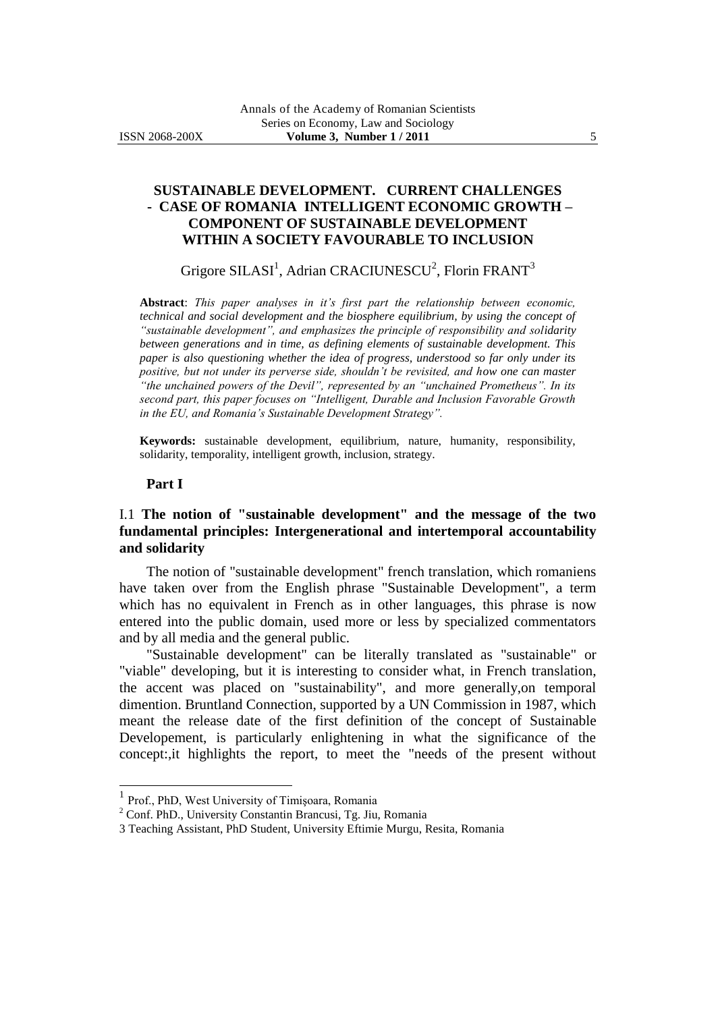# **SUSTAINABLE DEVELOPMENT. CURRENT CHALLENGES - CASE OF ROMANIA INTELLIGENT ECONOMIC GROWTH – COMPONENT OF SUSTAINABLE DEVELOPMENT WITHIN A SOCIETY FAVOURABLE TO INCLUSION**

Grigore SILASI<sup>1</sup>, Adrian CRACIUNESCU<sup>2</sup>, Florin FRANT<sup>3</sup>

**Abstract**: *This paper analyses in it's first part the relationship between economic, technical and social development and the biosphere equilibrium, by using the concept of "sustainable development", and emphasizes the principle of responsibility and solidarity between generations and in time, as defining elements of sustainable development. This paper is also questioning whether the idea of progress, understood so far only under its positive, but not under its perverse side, shouldn't be revisited, and how one can master "the unchained powers of the Devil", represented by an "unchained Prometheus". In its second part, this paper focuses on "Intelligent, Durable and Inclusion Favorable Growth in the EU, and Romania's Sustainable Development Strategy".*

**Keywords:** sustainable development, equilibrium, nature, humanity, responsibility, solidarity, temporality, intelligent growth, inclusion, strategy.

#### **Part I**

l

# I.1 **The notion of "sustainable development" and the message of the two fundamental principles: Intergenerational and intertemporal accountability and solidarity**

The notion of "sustainable development" french translation, which romaniens have taken over from the English phrase "Sustainable Development", a term which has no equivalent in French as in other languages, this phrase is now entered into the public domain, used more or less by specialized commentators and by all media and the general public.

"Sustainable development" can be literally translated as "sustainable" or "viable" developing, but it is interesting to consider what, in French translation, the accent was placed on "sustainability", and more generally,on temporal dimention. Bruntland Connection, supported by a UN Commission in 1987, which meant the release date of the first definition of the concept of Sustainable Developement, is particularly enlightening in what the significance of the concept:,it highlights the report, to meet the "needs of the present without

<sup>1</sup> Prof., PhD, West University of Timişoara, Romania

<sup>2</sup> Conf. PhD., University Constantin Brancusi, Tg. Jiu, Romania

<sup>3</sup> Teaching Assistant, PhD Student, University Eftimie Murgu, Resita, Romania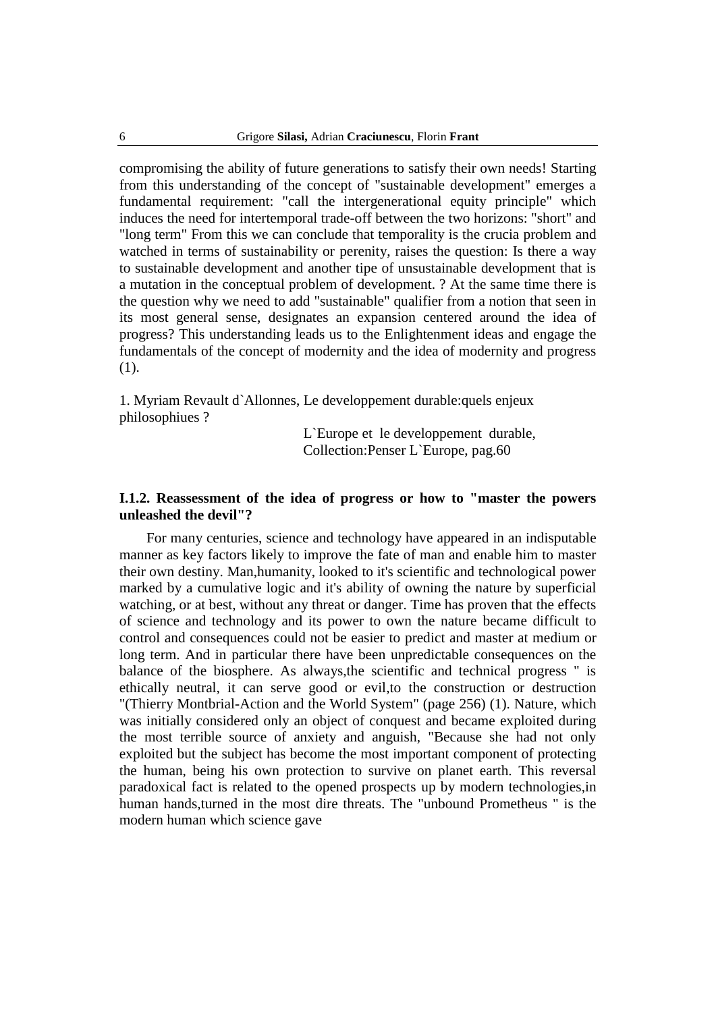compromising the ability of future generations to satisfy their own needs! Starting from this understanding of the concept of "sustainable development" emerges a fundamental requirement: "call the intergenerational equity principle" which induces the need for intertemporal trade-off between the two horizons: "short" and "long term" From this we can conclude that temporality is the crucia problem and watched in terms of sustainability or perenity, raises the question: Is there a way to sustainable development and another tipe of unsustainable development that is a mutation in the conceptual problem of development. ? At the same time there is the question why we need to add "sustainable" qualifier from a notion that seen in its most general sense, designates an expansion centered around the idea of progress? This understanding leads us to the Enlightenment ideas and engage the fundamentals of the concept of modernity and the idea of modernity and progress (1).

1. Myriam Revault d`Allonnes, Le developpement durable:quels enjeux philosophiues ?

> L`Europe et le developpement durable, Collection:Penser L`Europe, pag.60

### **I.1.2. Reassessment of the idea of progress or how to "master the powers unleashed the devil"?**

For many centuries, science and technology have appeared in an indisputable manner as key factors likely to improve the fate of man and enable him to master their own destiny. Man,humanity, looked to it's scientific and technological power marked by a cumulative logic and it's ability of owning the nature by superficial watching, or at best, without any threat or danger. Time has proven that the effects of science and technology and its power to own the nature became difficult to control and consequences could not be easier to predict and master at medium or long term. And in particular there have been unpredictable consequences on the balance of the biosphere. As always,the scientific and technical progress " is ethically neutral, it can serve good or evil,to the construction or destruction "(Thierry Montbrial-Action and the World System" (page 256) (1). Nature, which was initially considered only an object of conquest and became exploited during the most terrible source of anxiety and anguish, "Because she had not only exploited but the subject has become the most important component of protecting the human, being his own protection to survive on planet earth. This reversal paradoxical fact is related to the opened prospects up by modern technologies,in human hands,turned in the most dire threats. The "unbound Prometheus " is the modern human which science gave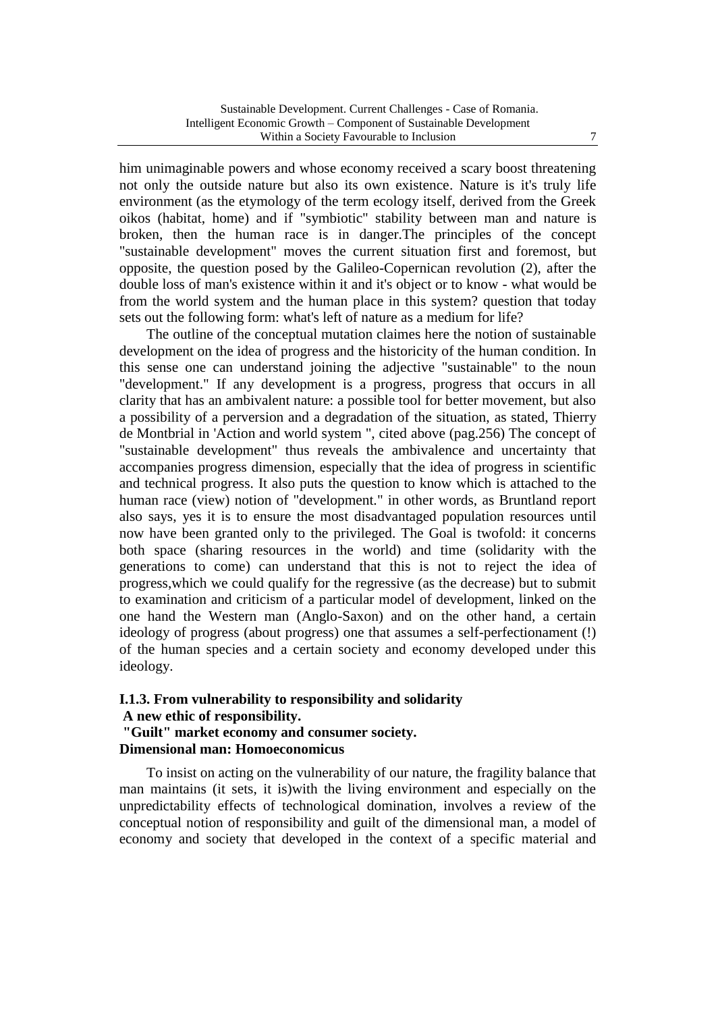him unimaginable powers and whose economy received a scary boost threatening not only the outside nature but also its own existence. Nature is it's truly life environment (as the etymology of the term ecology itself, derived from the Greek oikos (habitat, home) and if "symbiotic" stability between man and nature is broken, then the human race is in danger.The principles of the concept "sustainable development" moves the current situation first and foremost, but opposite, the question posed by the Galileo-Copernican revolution (2), after the double loss of man's existence within it and it's object or to know - what would be from the world system and the human place in this system? question that today sets out the following form: what's left of nature as a medium for life?

The outline of the conceptual mutation claimes here the notion of sustainable development on the idea of progress and the historicity of the human condition. In this sense one can understand joining the adjective "sustainable" to the noun "development." If any development is a progress, progress that occurs in all clarity that has an ambivalent nature: a possible tool for better movement, but also a possibility of a perversion and a degradation of the situation, as stated, Thierry de Montbrial in 'Action and world system ", cited above (pag.256) The concept of "sustainable development" thus reveals the ambivalence and uncertainty that accompanies progress dimension, especially that the idea of progress in scientific and technical progress. It also puts the question to know which is attached to the human race (view) notion of "development." in other words, as Bruntland report also says, yes it is to ensure the most disadvantaged population resources until now have been granted only to the privileged. The Goal is twofold: it concerns both space (sharing resources in the world) and time (solidarity with the generations to come) can understand that this is not to reject the idea of progress,which we could qualify for the regressive (as the decrease) but to submit to examination and criticism of a particular model of development, linked on the one hand the Western man (Anglo-Saxon) and on the other hand, a certain ideology of progress (about progress) one that assumes a self-perfectionament (!) of the human species and a certain society and economy developed under this ideology.

### **I.1.3. From vulnerability to responsibility and solidarity A new ethic of responsibility. "Guilt" market economy and consumer society. Dimensional man: Homoeconomicus**

To insist on acting on the vulnerability of our nature, the fragility balance that man maintains (it sets, it is)with the living environment and especially on the unpredictability effects of technological domination, involves a review of the conceptual notion of responsibility and guilt of the dimensional man, a model of economy and society that developed in the context of a specific material and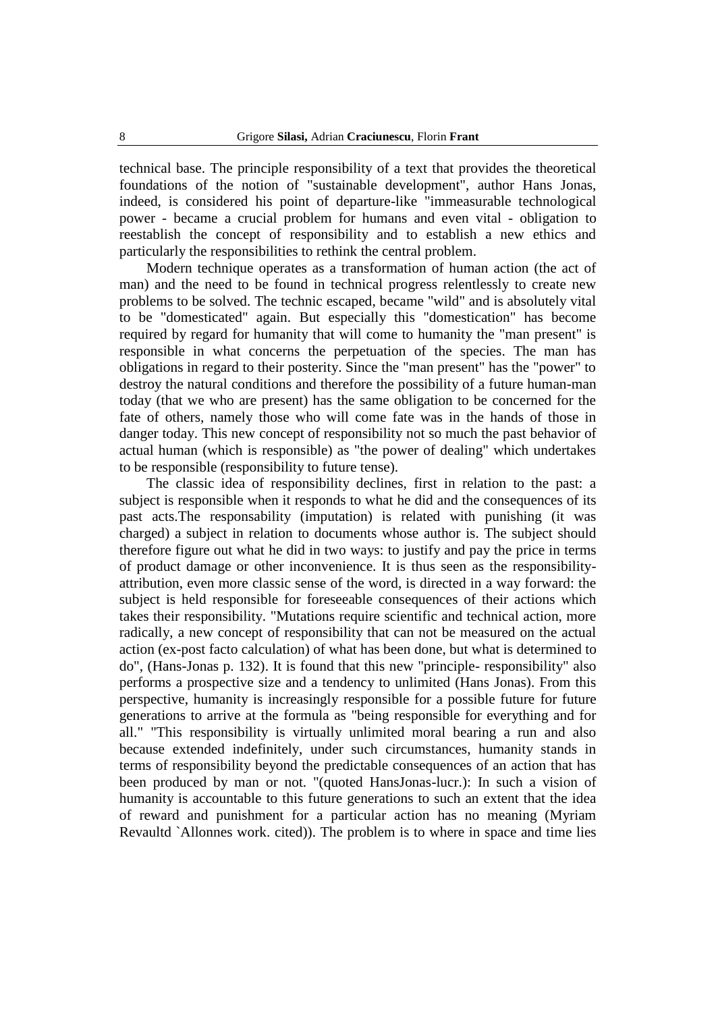technical base. The principle responsibility of a text that provides the theoretical foundations of the notion of "sustainable development", author Hans Jonas, indeed, is considered his point of departure-like "immeasurable technological power - became a crucial problem for humans and even vital - obligation to reestablish the concept of responsibility and to establish a new ethics and particularly the responsibilities to rethink the central problem.

Modern technique operates as a transformation of human action (the act of man) and the need to be found in technical progress relentlessly to create new problems to be solved. The technic escaped, became "wild" and is absolutely vital to be "domesticated" again. But especially this "domestication" has become required by regard for humanity that will come to humanity the "man present" is responsible in what concerns the perpetuation of the species. The man has obligations in regard to their posterity. Since the "man present" has the "power" to destroy the natural conditions and therefore the possibility of a future human-man today (that we who are present) has the same obligation to be concerned for the fate of others, namely those who will come fate was in the hands of those in danger today. This new concept of responsibility not so much the past behavior of actual human (which is responsible) as "the power of dealing" which undertakes to be responsible (responsibility to future tense).

The classic idea of responsibility declines, first in relation to the past: a subject is responsible when it responds to what he did and the consequences of its past acts.The responsability (imputation) is related with punishing (it was charged) a subject in relation to documents whose author is. The subject should therefore figure out what he did in two ways: to justify and pay the price in terms of product damage or other inconvenience. It is thus seen as the responsibilityattribution, even more classic sense of the word, is directed in a way forward: the subject is held responsible for foreseeable consequences of their actions which takes their responsibility. "Mutations require scientific and technical action, more radically, a new concept of responsibility that can not be measured on the actual action (ex-post facto calculation) of what has been done, but what is determined to do", (Hans-Jonas p. 132). It is found that this new "principle- responsibility" also performs a prospective size and a tendency to unlimited (Hans Jonas). From this perspective, humanity is increasingly responsible for a possible future for future generations to arrive at the formula as "being responsible for everything and for all." "This responsibility is virtually unlimited moral bearing a run and also because extended indefinitely, under such circumstances, humanity stands in terms of responsibility beyond the predictable consequences of an action that has been produced by man or not. "(quoted HansJonas-lucr.): In such a vision of humanity is accountable to this future generations to such an extent that the idea of reward and punishment for a particular action has no meaning (Myriam Revaultd `Allonnes work. cited)). The problem is to where in space and time lies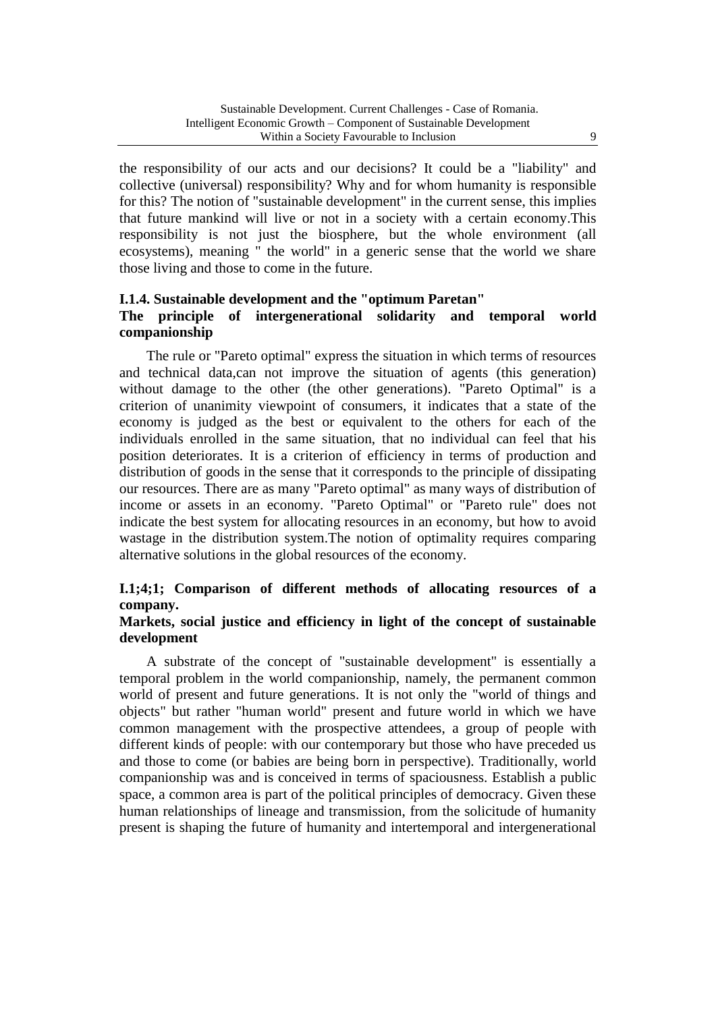the responsibility of our acts and our decisions? It could be a "liability" and collective (universal) responsibility? Why and for whom humanity is responsible for this? The notion of "sustainable development" in the current sense, this implies that future mankind will live or not in a society with a certain economy.This responsibility is not just the biosphere, but the whole environment (all ecosystems), meaning " the world" in a generic sense that the world we share those living and those to come in the future.

#### **I.1.4. Sustainable development and the "optimum Paretan"**

# **The principle of intergenerational solidarity and temporal world companionship**

The rule or "Pareto optimal" express the situation in which terms of resources and technical data,can not improve the situation of agents (this generation) without damage to the other (the other generations). "Pareto Optimal" is a criterion of unanimity viewpoint of consumers, it indicates that a state of the economy is judged as the best or equivalent to the others for each of the individuals enrolled in the same situation, that no individual can feel that his position deteriorates. It is a criterion of efficiency in terms of production and distribution of goods in the sense that it corresponds to the principle of dissipating our resources. There are as many "Pareto optimal" as many ways of distribution of income or assets in an economy. "Pareto Optimal" or "Pareto rule" does not indicate the best system for allocating resources in an economy, but how to avoid wastage in the distribution system.The notion of optimality requires comparing alternative solutions in the global resources of the economy.

# **I.1;4;1; Comparison of different methods of allocating resources of a company.**

## **Markets, social justice and efficiency in light of the concept of sustainable development**

A substrate of the concept of "sustainable development" is essentially a temporal problem in the world companionship, namely, the permanent common world of present and future generations. It is not only the "world of things and objects" but rather "human world" present and future world in which we have common management with the prospective attendees, a group of people with different kinds of people: with our contemporary but those who have preceded us and those to come (or babies are being born in perspective). Traditionally, world companionship was and is conceived in terms of spaciousness. Establish a public space, a common area is part of the political principles of democracy. Given these human relationships of lineage and transmission, from the solicitude of humanity present is shaping the future of humanity and intertemporal and intergenerational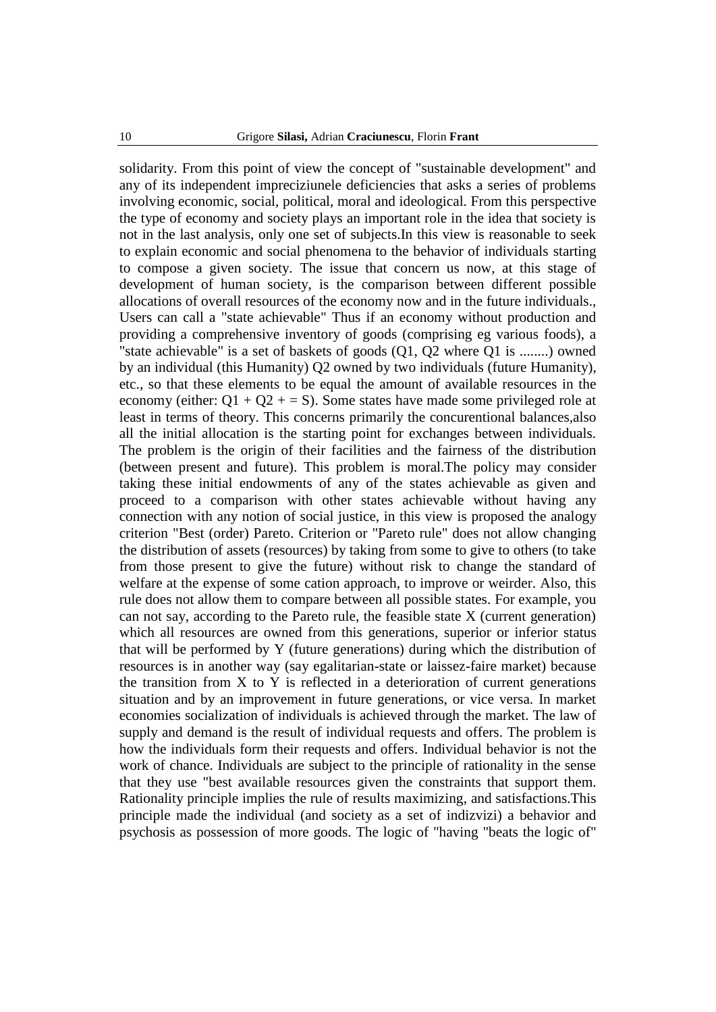solidarity. From this point of view the concept of "sustainable development" and any of its independent impreciziunele deficiencies that asks a series of problems involving economic, social, political, moral and ideological. From this perspective the type of economy and society plays an important role in the idea that society is not in the last analysis, only one set of subjects.In this view is reasonable to seek to explain economic and social phenomena to the behavior of individuals starting to compose a given society. The issue that concern us now, at this stage of development of human society, is the comparison between different possible allocations of overall resources of the economy now and in the future individuals., Users can call a "state achievable" Thus if an economy without production and providing a comprehensive inventory of goods (comprising eg various foods), a "state achievable" is a set of baskets of goods (Q1, Q2 where Q1 is ........) owned by an individual (this Humanity) Q2 owned by two individuals (future Humanity), etc., so that these elements to be equal the amount of available resources in the economy (either:  $Q1 + Q2 + S$ ). Some states have made some privileged role at least in terms of theory. This concerns primarily the concurentional balances,also all the initial allocation is the starting point for exchanges between individuals. The problem is the origin of their facilities and the fairness of the distribution (between present and future). This problem is moral.The policy may consider taking these initial endowments of any of the states achievable as given and proceed to a comparison with other states achievable without having any connection with any notion of social justice, in this view is proposed the analogy criterion "Best (order) Pareto. Criterion or "Pareto rule" does not allow changing the distribution of assets (resources) by taking from some to give to others (to take from those present to give the future) without risk to change the standard of welfare at the expense of some cation approach, to improve or weirder. Also, this rule does not allow them to compare between all possible states. For example, you can not say, according to the Pareto rule, the feasible state X (current generation) which all resources are owned from this generations, superior or inferior status that will be performed by Y (future generations) during which the distribution of resources is in another way (say egalitarian-state or laissez-faire market) because the transition from  $X$  to  $Y$  is reflected in a deterioration of current generations situation and by an improvement in future generations, or vice versa. In market economies socialization of individuals is achieved through the market. The law of supply and demand is the result of individual requests and offers. The problem is how the individuals form their requests and offers. Individual behavior is not the work of chance. Individuals are subject to the principle of rationality in the sense that they use "best available resources given the constraints that support them. Rationality principle implies the rule of results maximizing, and satisfactions.This principle made the individual (and society as a set of indizvizi) a behavior and psychosis as possession of more goods. The logic of "having "beats the logic of"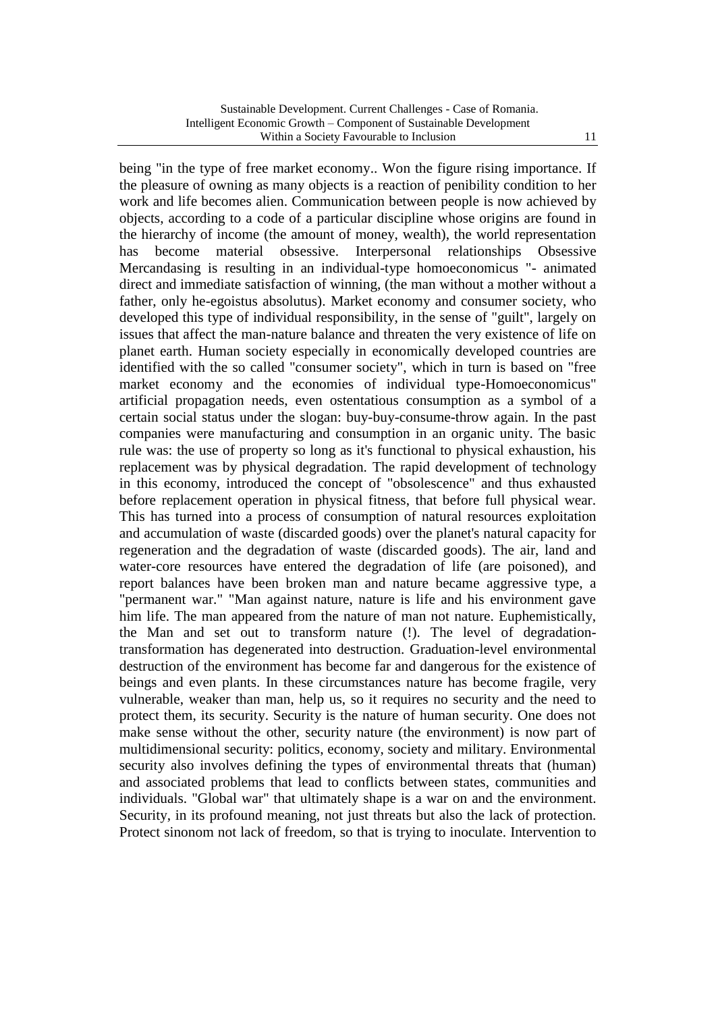being "in the type of free market economy.. Won the figure rising importance. If the pleasure of owning as many objects is a reaction of penibility condition to her work and life becomes alien. Communication between people is now achieved by objects, according to a code of a particular discipline whose origins are found in the hierarchy of income (the amount of money, wealth), the world representation has become material obsessive. Interpersonal relationships Obsessive Mercandasing is resulting in an individual-type homoeconomicus "- animated direct and immediate satisfaction of winning, (the man without a mother without a father, only he-egoistus absolutus). Market economy and consumer society, who developed this type of individual responsibility, in the sense of "guilt", largely on issues that affect the man-nature balance and threaten the very existence of life on planet earth. Human society especially in economically developed countries are identified with the so called "consumer society", which in turn is based on "free market economy and the economies of individual type-Homoeconomicus" artificial propagation needs, even ostentatious consumption as a symbol of a certain social status under the slogan: buy-buy-consume-throw again. In the past companies were manufacturing and consumption in an organic unity. The basic rule was: the use of property so long as it's functional to physical exhaustion, his replacement was by physical degradation. The rapid development of technology in this economy, introduced the concept of "obsolescence" and thus exhausted before replacement operation in physical fitness, that before full physical wear. This has turned into a process of consumption of natural resources exploitation and accumulation of waste (discarded goods) over the planet's natural capacity for regeneration and the degradation of waste (discarded goods). The air, land and water-core resources have entered the degradation of life (are poisoned), and report balances have been broken man and nature became aggressive type, a "permanent war." "Man against nature, nature is life and his environment gave him life. The man appeared from the nature of man not nature. Euphemistically, the Man and set out to transform nature (!). The level of degradationtransformation has degenerated into destruction. Graduation-level environmental destruction of the environment has become far and dangerous for the existence of beings and even plants. In these circumstances nature has become fragile, very vulnerable, weaker than man, help us, so it requires no security and the need to protect them, its security. Security is the nature of human security. One does not make sense without the other, security nature (the environment) is now part of multidimensional security: politics, economy, society and military. Environmental security also involves defining the types of environmental threats that (human) and associated problems that lead to conflicts between states, communities and individuals. "Global war" that ultimately shape is a war on and the environment. Security, in its profound meaning, not just threats but also the lack of protection. Protect sinonom not lack of freedom, so that is trying to inoculate. Intervention to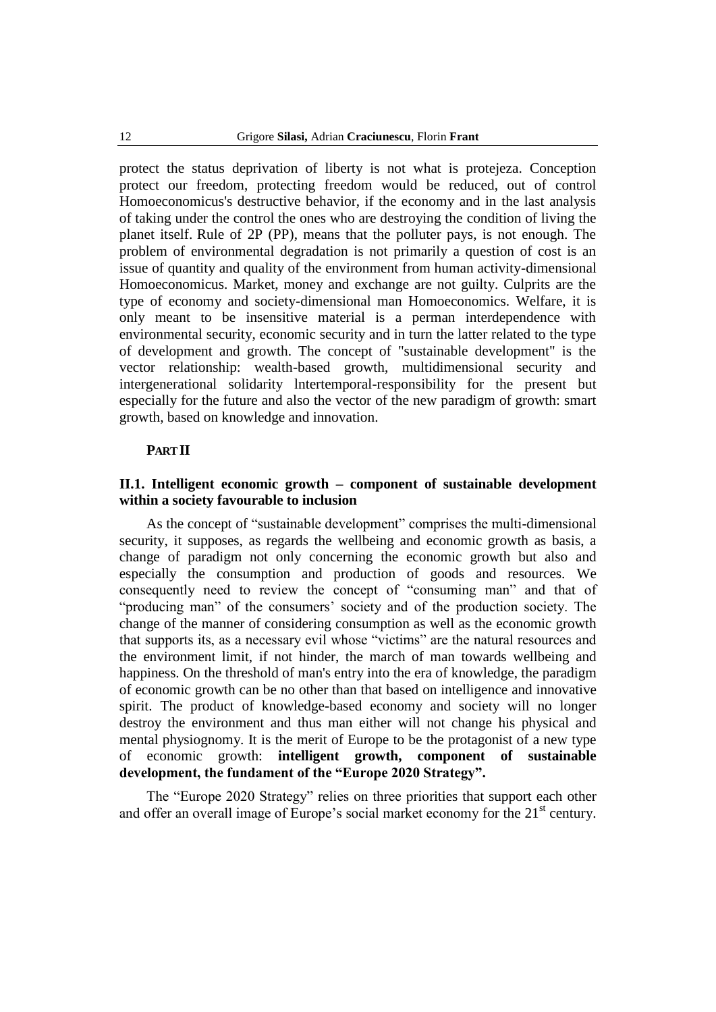protect the status deprivation of liberty is not what is protejeza. Conception protect our freedom, protecting freedom would be reduced, out of control Homoeconomicus's destructive behavior, if the economy and in the last analysis of taking under the control the ones who are destroying the condition of living the planet itself. Rule of 2P (PP), means that the polluter pays, is not enough. The problem of environmental degradation is not primarily a question of cost is an issue of quantity and quality of the environment from human activity-dimensional Homoeconomicus. Market, money and exchange are not guilty. Culprits are the type of economy and society-dimensional man Homoeconomics. Welfare, it is only meant to be insensitive material is a perman interdependence with environmental security, economic security and in turn the latter related to the type of development and growth. The concept of "sustainable development" is the vector relationship: wealth-based growth, multidimensional security and intergenerational solidarity lntertemporal-responsibility for the present but especially for the future and also the vector of the new paradigm of growth: smart growth, based on knowledge and innovation.

#### **PART II**

### **II.1. Intelligent economic growth – component of sustainable development within a society favourable to inclusion**

As the concept of "sustainable development" comprises the multi-dimensional security, it supposes, as regards the wellbeing and economic growth as basis, a change of paradigm not only concerning the economic growth but also and especially the consumption and production of goods and resources. We consequently need to review the concept of "consuming man" and that of "producing man" of the consumers' society and of the production society. The change of the manner of considering consumption as well as the economic growth that supports its, as a necessary evil whose "victims" are the natural resources and the environment limit, if not hinder, the march of man towards wellbeing and happiness. On the threshold of man's entry into the era of knowledge, the paradigm of economic growth can be no other than that based on intelligence and innovative spirit. The product of knowledge-based economy and society will no longer destroy the environment and thus man either will not change his physical and mental physiognomy. It is the merit of Europe to be the protagonist of a new type of economic growth: **intelligent growth, component of sustainable development, the fundament of the "Europe 2020 Strategy".**

The "Europe 2020 Strategy" relies on three priorities that support each other and offer an overall image of Europe's social market economy for the 21<sup>st</sup> century.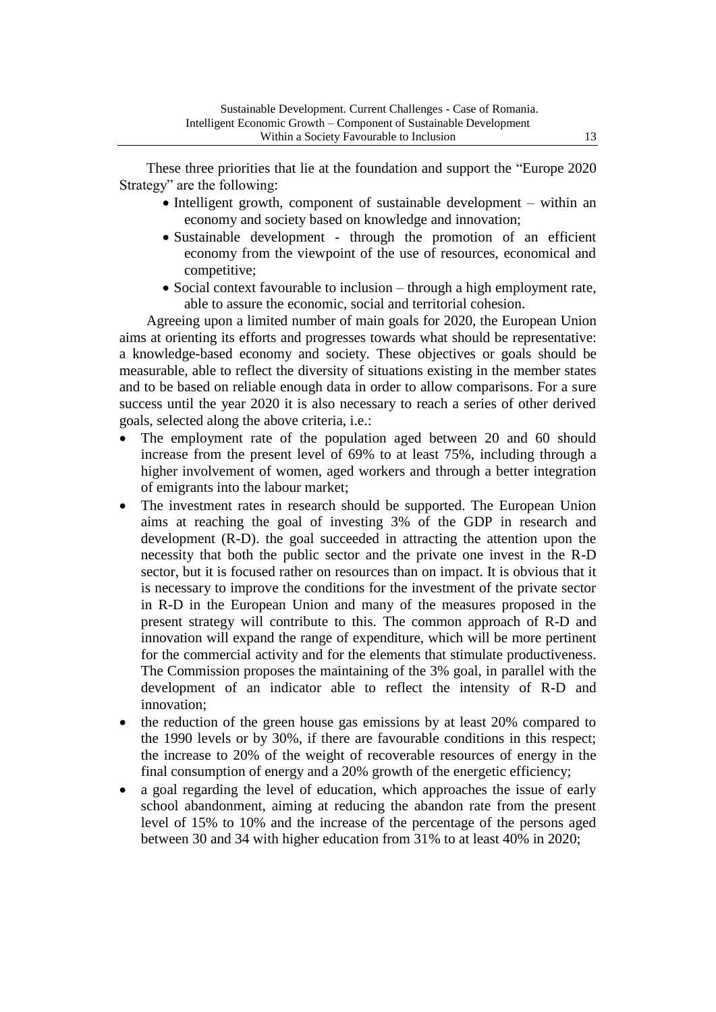These three priorities that lie at the foundation and support the "Europe 2020 Strategy" are the following:

- Intelligent growth, component of sustainable development within an economy and society based on knowledge and innovation;
- Sustainable development through the promotion of an efficient economy from the viewpoint of the use of resources, economical and competitive;
- Social context favourable to inclusion through a high employment rate, able to assure the economic, social and territorial cohesion.

Agreeing upon a limited number of main goals for 2020, the European Union aims at orienting its efforts and progresses towards what should be representative: a knowledge-based economy and society. These objectives or goals should be measurable, able to reflect the diversity of situations existing in the member states and to be based on reliable enough data in order to allow comparisons. For a sure success until the year 2020 it is also necessary to reach a series of other derived goals, selected along the above criteria, i.e.:

- The employment rate of the population aged between 20 and 60 should increase from the present level of 69% to at least 75%, including through a higher involvement of women, aged workers and through a better integration of emigrants into the labour market;
- The investment rates in research should be supported. The European Union aims at reaching the goal of investing 3% of the GDP in research and development (R-D). the goal succeeded in attracting the attention upon the necessity that both the public sector and the private one invest in the R-D sector, but it is focused rather on resources than on impact. It is obvious that it is necessary to improve the conditions for the investment of the private sector in R-D in the European Union and many of the measures proposed in the present strategy will contribute to this. The common approach of R-D and innovation will expand the range of expenditure, which will be more pertinent for the commercial activity and for the elements that stimulate productiveness. The Commission proposes the maintaining of the 3% goal, in parallel with the development of an indicator able to reflect the intensity of R-D and innovation;
- the reduction of the green house gas emissions by at least 20% compared to the 1990 levels or by 30%, if there are favourable conditions in this respect; the increase to 20% of the weight of recoverable resources of energy in the final consumption of energy and a 20% growth of the energetic efficiency;
- a goal regarding the level of education, which approaches the issue of early school abandonment, aiming at reducing the abandon rate from the present level of 15% to 10% and the increase of the percentage of the persons aged between 30 and 34 with higher education from 31% to at least 40% in 2020;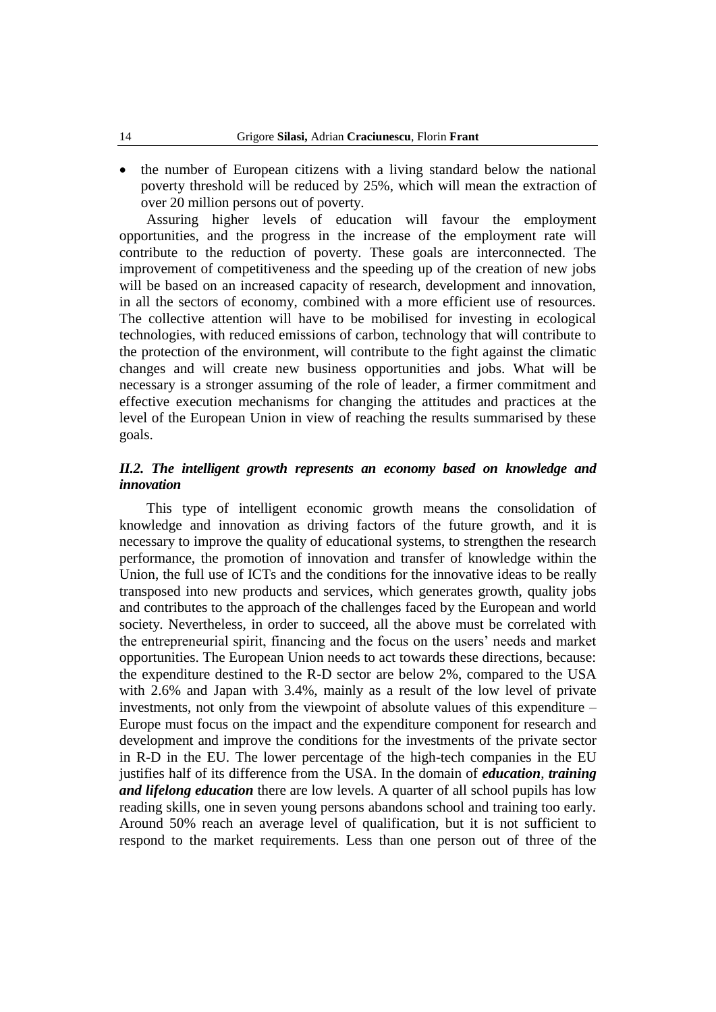• the number of European citizens with a living standard below the national poverty threshold will be reduced by 25%, which will mean the extraction of over 20 million persons out of poverty.

Assuring higher levels of education will favour the employment opportunities, and the progress in the increase of the employment rate will contribute to the reduction of poverty. These goals are interconnected. The improvement of competitiveness and the speeding up of the creation of new jobs will be based on an increased capacity of research, development and innovation, in all the sectors of economy, combined with a more efficient use of resources. The collective attention will have to be mobilised for investing in ecological technologies, with reduced emissions of carbon, technology that will contribute to the protection of the environment, will contribute to the fight against the climatic changes and will create new business opportunities and jobs. What will be necessary is a stronger assuming of the role of leader, a firmer commitment and effective execution mechanisms for changing the attitudes and practices at the level of the European Union in view of reaching the results summarised by these goals.

## *II.2. The intelligent growth represents an economy based on knowledge and innovation*

This type of intelligent economic growth means the consolidation of knowledge and innovation as driving factors of the future growth, and it is necessary to improve the quality of educational systems, to strengthen the research performance, the promotion of innovation and transfer of knowledge within the Union, the full use of ICTs and the conditions for the innovative ideas to be really transposed into new products and services, which generates growth, quality jobs and contributes to the approach of the challenges faced by the European and world society. Nevertheless, in order to succeed, all the above must be correlated with the entrepreneurial spirit, financing and the focus on the users' needs and market opportunities. The European Union needs to act towards these directions, because: the expenditure destined to the R-D sector are below 2%, compared to the USA with 2.6% and Japan with 3.4%, mainly as a result of the low level of private investments, not only from the viewpoint of absolute values of this expenditure – Europe must focus on the impact and the expenditure component for research and development and improve the conditions for the investments of the private sector in R-D in the EU. The lower percentage of the high-tech companies in the EU justifies half of its difference from the USA. In the domain of *education*, *training and lifelong education* there are low levels. A quarter of all school pupils has low reading skills, one in seven young persons abandons school and training too early. Around 50% reach an average level of qualification, but it is not sufficient to respond to the market requirements. Less than one person out of three of the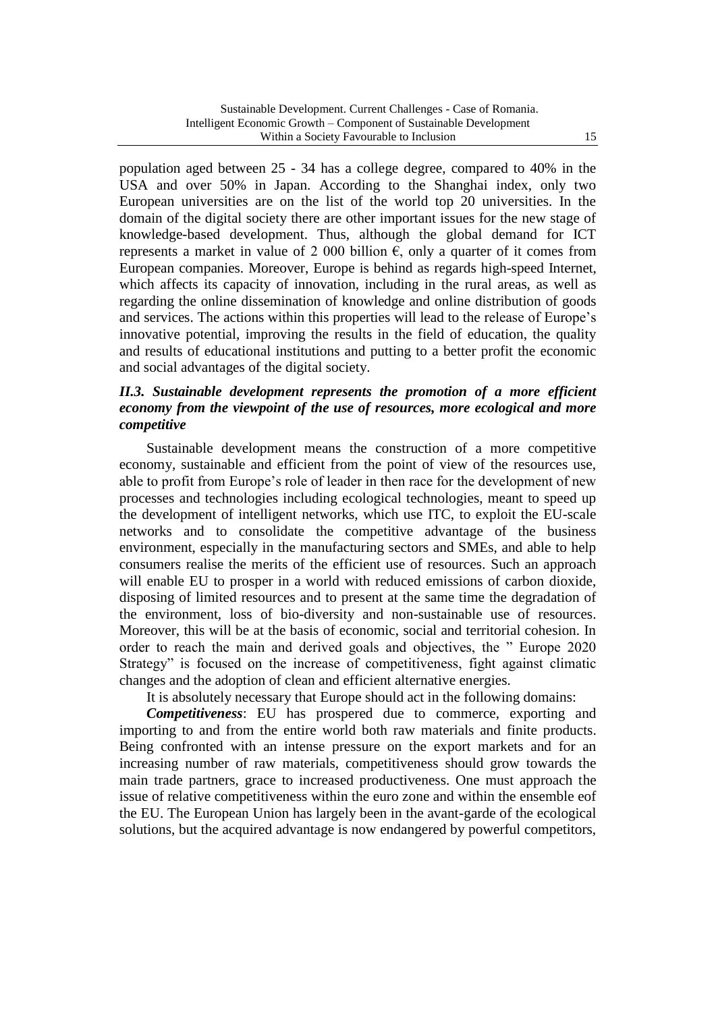population aged between 25 - 34 has a college degree, compared to 40% in the USA and over 50% in Japan. According to the Shanghai index, only two European universities are on the list of the world top 20 universities. In the domain of the digital society there are other important issues for the new stage of knowledge-based development. Thus, although the global demand for ICT represents a market in value of 2 000 billion  $\epsilon$ , only a quarter of it comes from European companies. Moreover, Europe is behind as regards high-speed Internet, which affects its capacity of innovation, including in the rural areas, as well as regarding the online dissemination of knowledge and online distribution of goods and services. The actions within this properties will lead to the release of Europe's innovative potential, improving the results in the field of education, the quality and results of educational institutions and putting to a better profit the economic and social advantages of the digital society.

# *II.3. Sustainable development represents the promotion of a more efficient economy from the viewpoint of the use of resources, more ecological and more competitive*

Sustainable development means the construction of a more competitive economy, sustainable and efficient from the point of view of the resources use, able to profit from Europe's role of leader in then race for the development of new processes and technologies including ecological technologies, meant to speed up the development of intelligent networks, which use ITC, to exploit the EU-scale networks and to consolidate the competitive advantage of the business environment, especially in the manufacturing sectors and SMEs, and able to help consumers realise the merits of the efficient use of resources. Such an approach will enable EU to prosper in a world with reduced emissions of carbon dioxide, disposing of limited resources and to present at the same time the degradation of the environment, loss of bio-diversity and non-sustainable use of resources. Moreover, this will be at the basis of economic, social and territorial cohesion. In order to reach the main and derived goals and objectives, the " Europe 2020 Strategy" is focused on the increase of competitiveness, fight against climatic changes and the adoption of clean and efficient alternative energies.

It is absolutely necessary that Europe should act in the following domains:

*Competitiveness*: EU has prospered due to commerce, exporting and importing to and from the entire world both raw materials and finite products. Being confronted with an intense pressure on the export markets and for an increasing number of raw materials, competitiveness should grow towards the main trade partners, grace to increased productiveness. One must approach the issue of relative competitiveness within the euro zone and within the ensemble eof the EU. The European Union has largely been in the avant-garde of the ecological solutions, but the acquired advantage is now endangered by powerful competitors,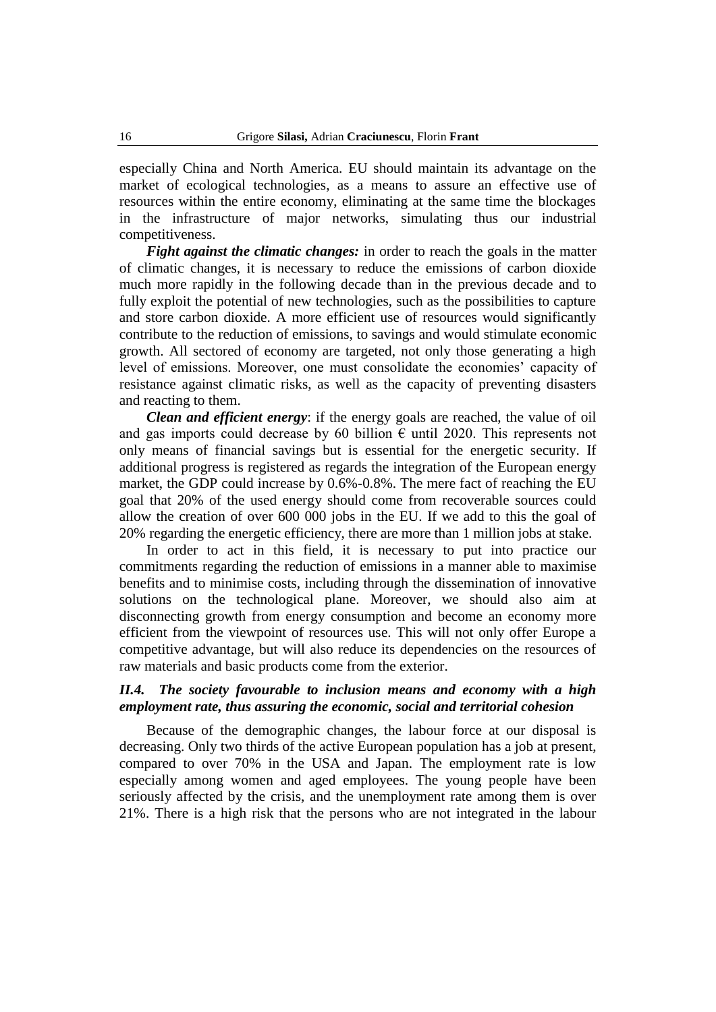especially China and North America. EU should maintain its advantage on the market of ecological technologies, as a means to assure an effective use of resources within the entire economy, eliminating at the same time the blockages in the infrastructure of major networks, simulating thus our industrial competitiveness.

*Fight against the climatic changes:* in order to reach the goals in the matter of climatic changes, it is necessary to reduce the emissions of carbon dioxide much more rapidly in the following decade than in the previous decade and to fully exploit the potential of new technologies, such as the possibilities to capture and store carbon dioxide. A more efficient use of resources would significantly contribute to the reduction of emissions, to savings and would stimulate economic growth. All sectored of economy are targeted, not only those generating a high level of emissions. Moreover, one must consolidate the economies' capacity of resistance against climatic risks, as well as the capacity of preventing disasters and reacting to them.

*Clean and efficient energy*: if the energy goals are reached, the value of oil and gas imports could decrease by 60 billion  $\epsilon$  until 2020. This represents not only means of financial savings but is essential for the energetic security. If additional progress is registered as regards the integration of the European energy market, the GDP could increase by 0.6%-0.8%. The mere fact of reaching the EU goal that 20% of the used energy should come from recoverable sources could allow the creation of over 600 000 jobs in the EU. If we add to this the goal of 20% regarding the energetic efficiency, there are more than 1 million jobs at stake.

In order to act in this field, it is necessary to put into practice our commitments regarding the reduction of emissions in a manner able to maximise benefits and to minimise costs, including through the dissemination of innovative solutions on the technological plane. Moreover, we should also aim at disconnecting growth from energy consumption and become an economy more efficient from the viewpoint of resources use. This will not only offer Europe a competitive advantage, but will also reduce its dependencies on the resources of raw materials and basic products come from the exterior.

### *II.4. The society favourable to inclusion means and economy with a high employment rate, thus assuring the economic, social and territorial cohesion*

Because of the demographic changes, the labour force at our disposal is decreasing. Only two thirds of the active European population has a job at present, compared to over 70% in the USA and Japan. The employment rate is low especially among women and aged employees. The young people have been seriously affected by the crisis, and the unemployment rate among them is over 21%. There is a high risk that the persons who are not integrated in the labour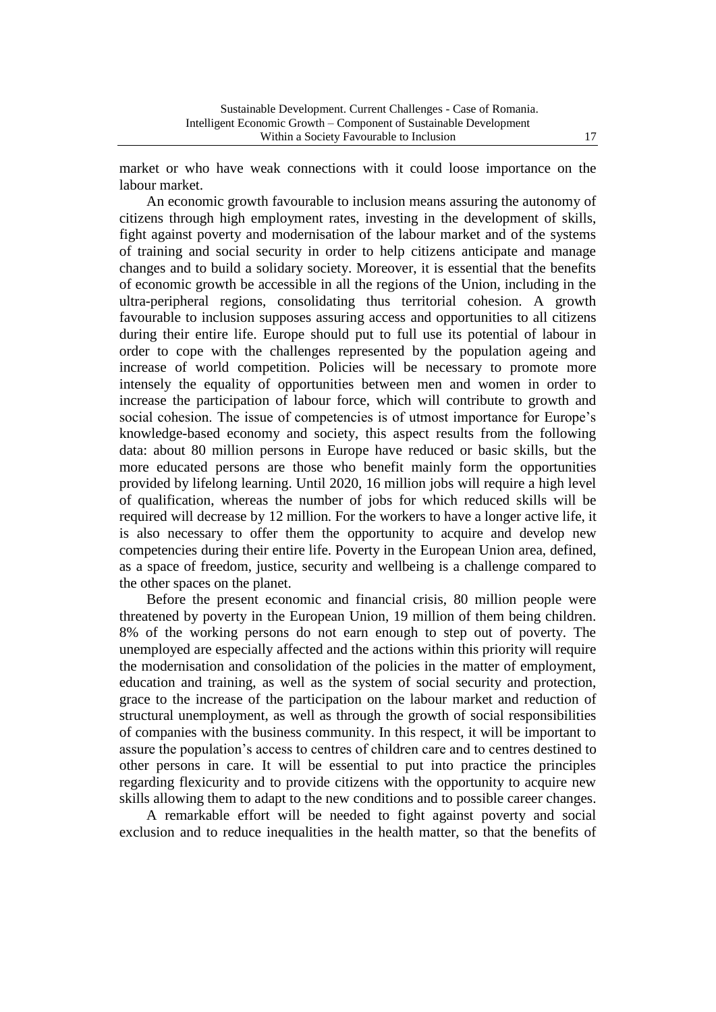market or who have weak connections with it could loose importance on the labour market.

An economic growth favourable to inclusion means assuring the autonomy of citizens through high employment rates, investing in the development of skills, fight against poverty and modernisation of the labour market and of the systems of training and social security in order to help citizens anticipate and manage changes and to build a solidary society. Moreover, it is essential that the benefits of economic growth be accessible in all the regions of the Union, including in the ultra-peripheral regions, consolidating thus territorial cohesion. A growth favourable to inclusion supposes assuring access and opportunities to all citizens during their entire life. Europe should put to full use its potential of labour in order to cope with the challenges represented by the population ageing and increase of world competition. Policies will be necessary to promote more intensely the equality of opportunities between men and women in order to increase the participation of labour force, which will contribute to growth and social cohesion. The issue of competencies is of utmost importance for Europe's knowledge-based economy and society, this aspect results from the following data: about 80 million persons in Europe have reduced or basic skills, but the more educated persons are those who benefit mainly form the opportunities provided by lifelong learning. Until 2020, 16 million jobs will require a high level of qualification, whereas the number of jobs for which reduced skills will be required will decrease by 12 million. For the workers to have a longer active life, it is also necessary to offer them the opportunity to acquire and develop new competencies during their entire life. Poverty in the European Union area, defined, as a space of freedom, justice, security and wellbeing is a challenge compared to the other spaces on the planet.

Before the present economic and financial crisis, 80 million people were threatened by poverty in the European Union, 19 million of them being children. 8% of the working persons do not earn enough to step out of poverty. The unemployed are especially affected and the actions within this priority will require the modernisation and consolidation of the policies in the matter of employment, education and training, as well as the system of social security and protection, grace to the increase of the participation on the labour market and reduction of structural unemployment, as well as through the growth of social responsibilities of companies with the business community. In this respect, it will be important to assure the population's access to centres of children care and to centres destined to other persons in care. It will be essential to put into practice the principles regarding flexicurity and to provide citizens with the opportunity to acquire new skills allowing them to adapt to the new conditions and to possible career changes.

A remarkable effort will be needed to fight against poverty and social exclusion and to reduce inequalities in the health matter, so that the benefits of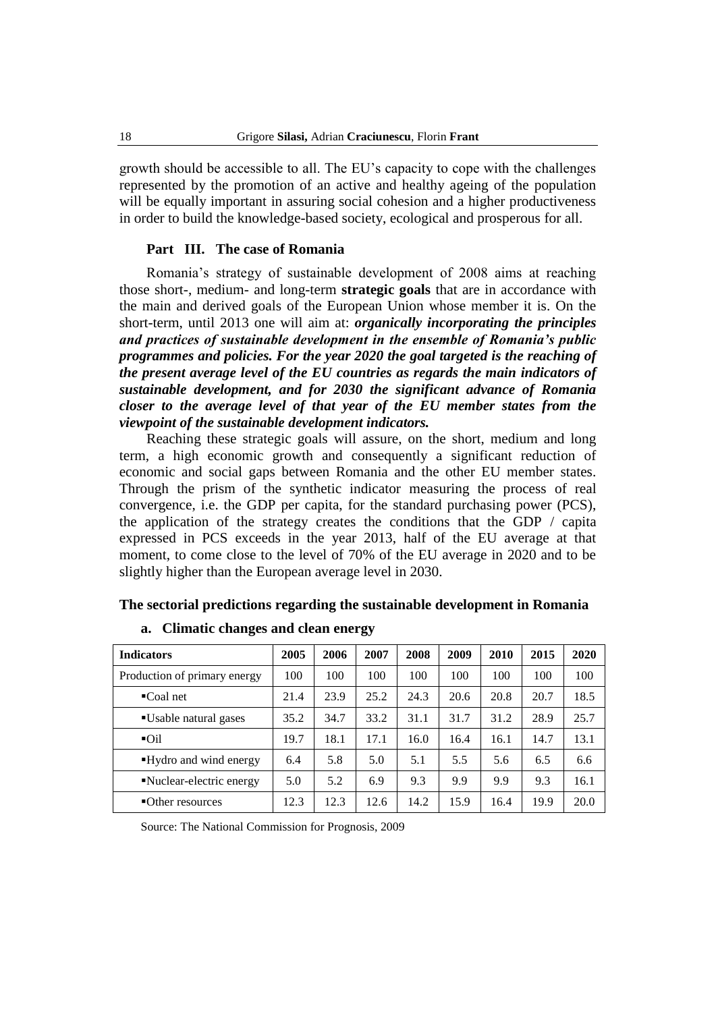growth should be accessible to all. The EU's capacity to cope with the challenges represented by the promotion of an active and healthy ageing of the population will be equally important in assuring social cohesion and a higher productiveness in order to build the knowledge-based society, ecological and prosperous for all.

#### **Part III. The case of Romania**

Romania's strategy of sustainable development of 2008 aims at reaching those short-, medium- and long-term **strategic goals** that are in accordance with the main and derived goals of the European Union whose member it is. On the short-term, until 2013 one will aim at: *organically incorporating the principles and practices of sustainable development in the ensemble of Romania's public programmes and policies. For the year 2020 the goal targeted is the reaching of the present average level of the EU countries as regards the main indicators of sustainable development, and for 2030 the significant advance of Romania closer to the average level of that year of the EU member states from the viewpoint of the sustainable development indicators.*

Reaching these strategic goals will assure, on the short, medium and long term, a high economic growth and consequently a significant reduction of economic and social gaps between Romania and the other EU member states. Through the prism of the synthetic indicator measuring the process of real convergence, i.e. the GDP per capita, for the standard purchasing power (PCS), the application of the strategy creates the conditions that the GDP / capita expressed in PCS exceeds in the year 2013, half of the EU average at that moment, to come close to the level of 70% of the EU average in 2020 and to be slightly higher than the European average level in 2030.

# **The sectorial predictions regarding the sustainable development in Romania**

| <b>Indicators</b>            | 2005 | 2006 | 2007 | 2008 | 2009 | 2010 | 2015 | 2020 |
|------------------------------|------|------|------|------|------|------|------|------|
| Production of primary energy | 100  | 100  | 100  | 100  | 100  | 100  | 100  | 100  |
| $\blacksquare$ Coal net      | 21.4 | 23.9 | 25.2 | 24.3 | 20.6 | 20.8 | 20.7 | 18.5 |
| ■Usable natural gases        | 35.2 | 34.7 | 33.2 | 31.1 | 31.7 | 31.2 | 28.9 | 25.7 |
| $\overline{O}$ il            | 19.7 | 18.1 | 17.1 | 16.0 | 16.4 | 16.1 | 14.7 | 13.1 |
| ■Hydro and wind energy       | 6.4  | 5.8  | 5.0  | 5.1  | 5.5  | 5.6  | 6.5  | 6.6  |
| • Nuclear-electric energy    | 5.0  | 5.2  | 6.9  | 9.3  | 9.9  | 9.9  | 9.3  | 16.1 |
| ■Other resources             | 12.3 | 12.3 | 12.6 | 14.2 | 15.9 | 16.4 | 19.9 | 20.0 |

#### **a. Climatic changes and clean energy**

Source: The National Commission for Prognosis, 2009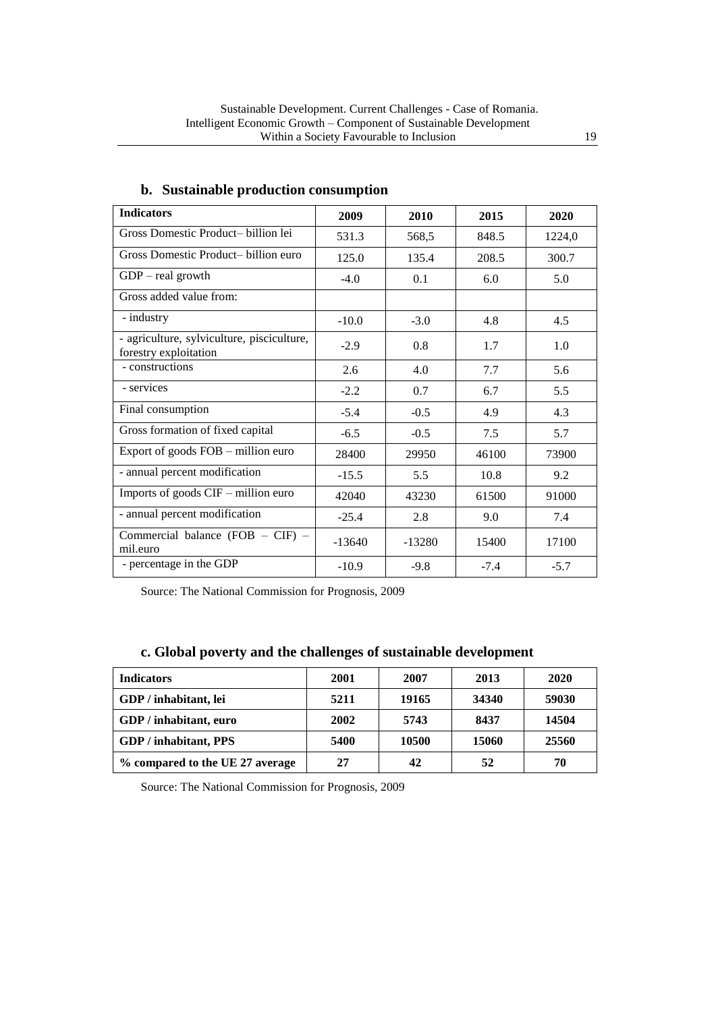| <b>Indicators</b>                                                   | 2009     | 2010     | 2015   | 2020   |
|---------------------------------------------------------------------|----------|----------|--------|--------|
| Gross Domestic Product- billion lei                                 | 531.3    | 568,5    | 848.5  | 1224,0 |
| Gross Domestic Product- billion euro                                | 125.0    | 135.4    | 208.5  | 300.7  |
| $GDP - real growth$                                                 | $-4.0$   | 0.1      | 6.0    | 5.0    |
| Gross added value from:                                             |          |          |        |        |
| - industry                                                          | $-10.0$  | $-3.0$   | 4.8    | 4.5    |
| - agriculture, sylviculture, pisciculture,<br>forestry exploitation | $-2.9$   | 0.8      | 1.7    | 1.0    |
| - constructions                                                     | 2.6      | 4.0      | 7.7    | 5.6    |
| - services                                                          | $-2.2$   | 0.7      | 6.7    | 5.5    |
| Final consumption                                                   | $-5.4$   | $-0.5$   | 4.9    | 4.3    |
| Gross formation of fixed capital                                    | $-6.5$   | $-0.5$   | 7.5    | 5.7    |
| Export of goods FOB - million euro                                  | 28400    | 29950    | 46100  | 73900  |
| - annual percent modification                                       | $-15.5$  | 5.5      | 10.8   | 9.2    |
| Imports of goods CIF - million euro                                 | 42040    | 43230    | 61500  | 91000  |
| - annual percent modification                                       | $-25.4$  | 2.8      | 9.0    | 7.4    |
| Commercial balance (FOB - CIF) -<br>mil.euro                        | $-13640$ | $-13280$ | 15400  | 17100  |
| - percentage in the GDP                                             | $-10.9$  | $-9.8$   | $-7.4$ | $-5.7$ |

# **b. Sustainable production consumption**

Source: The National Commission for Prognosis, 2009

### **c. Global poverty and the challenges of sustainable development**

| <b>Indicators</b>               | 2001 | 2007  | 2013  | 2020  |
|---------------------------------|------|-------|-------|-------|
| GDP / inhabitant, lei           | 5211 | 19165 | 34340 | 59030 |
| GDP / inhabitant, euro          | 2002 | 5743  | 8437  | 14504 |
| <b>GDP</b> / inhabitant, PPS    | 5400 | 10500 | 15060 | 25560 |
| % compared to the UE 27 average | 27   | 42    | 52    | 70    |

Source: The National Commission for Prognosis, 2009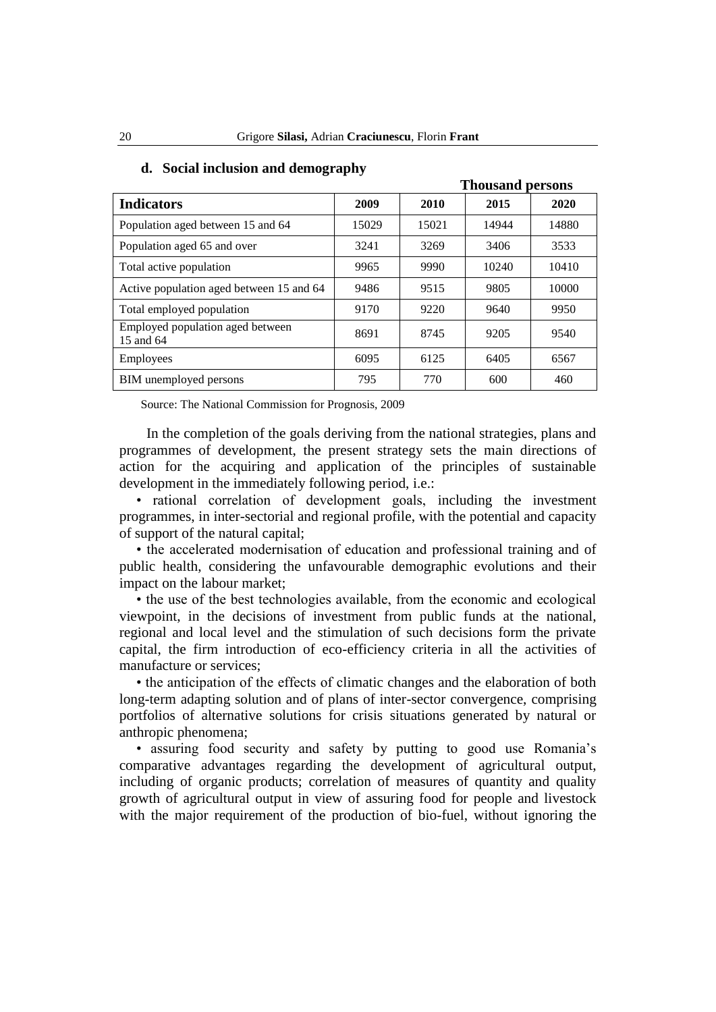|                                               |       | <b>Thousand persons</b> |       |       |  |
|-----------------------------------------------|-------|-------------------------|-------|-------|--|
| <b>Indicators</b>                             | 2009  | 2010                    | 2015  | 2020  |  |
| Population aged between 15 and 64             | 15029 | 15021                   | 14944 | 14880 |  |
| Population aged 65 and over                   | 3241  | 3269                    | 3406  | 3533  |  |
| Total active population                       | 9965  | 9990                    | 10240 | 10410 |  |
| Active population aged between 15 and 64      | 9486  | 9515                    | 9805  | 10000 |  |
| Total employed population                     | 9170  | 9220                    | 9640  | 9950  |  |
| Employed population aged between<br>15 and 64 | 8691  | 8745                    | 9205  | 9540  |  |
| Employees                                     | 6095  | 6125                    | 6405  | 6567  |  |
| BIM unemployed persons                        | 795   | 770                     | 600   | 460   |  |

#### **d. Social inclusion and demography**

Source: The National Commission for Prognosis, 2009

In the completion of the goals deriving from the national strategies, plans and programmes of development, the present strategy sets the main directions of action for the acquiring and application of the principles of sustainable development in the immediately following period, i.e.:

• rational correlation of development goals, including the investment programmes, in inter-sectorial and regional profile, with the potential and capacity of support of the natural capital;

• the accelerated modernisation of education and professional training and of public health, considering the unfavourable demographic evolutions and their impact on the labour market;

• the use of the best technologies available, from the economic and ecological viewpoint, in the decisions of investment from public funds at the national, regional and local level and the stimulation of such decisions form the private capital, the firm introduction of eco-efficiency criteria in all the activities of manufacture or services;

• the anticipation of the effects of climatic changes and the elaboration of both long-term adapting solution and of plans of inter-sector convergence, comprising portfolios of alternative solutions for crisis situations generated by natural or anthropic phenomena;

• assuring food security and safety by putting to good use Romania's comparative advantages regarding the development of agricultural output, including of organic products; correlation of measures of quantity and quality growth of agricultural output in view of assuring food for people and livestock with the major requirement of the production of bio-fuel, without ignoring the